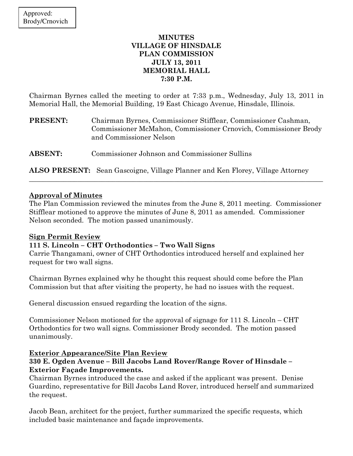## MINUTES VILLAGE OF HINSDALE PLAN COMMISSION JULY 13, 2011 MEMORIAL HALL 7:30 P.M.

Chairman Byrnes called the meeting to order at 7:33 p.m., Wednesday, July 13, 2011 in Memorial Hall, the Memorial Building, 19 East Chicago Avenue, Hinsdale, Illinois.

| PRESENT:       | Chairman Byrnes, Commissioner Stifflear, Commissioner Cashman,<br>Commissioner McMahon, Commissioner Crnovich, Commissioner Brody<br>and Commissioner Nelson |
|----------------|--------------------------------------------------------------------------------------------------------------------------------------------------------------|
| <b>ABSENT:</b> | Commissioner Johnson and Commissioner Sullins                                                                                                                |
|                | <b>ALSO PRESENT:</b> Sean Gascoigne, Village Planner and Ken Florey, Village Attorney                                                                        |

### Approval of Minutes

The Plan Commission reviewed the minutes from the June 8, 2011 meeting. Commissioner Stifflear motioned to approve the minutes of June 8, 2011 as amended. Commissioner Nelson seconded. The motion passed unanimously.

\_\_\_\_\_\_\_\_\_\_\_\_\_\_\_\_\_\_\_\_\_\_\_\_\_\_\_\_\_\_\_\_\_\_\_\_\_\_\_\_\_\_\_\_\_\_\_\_\_\_\_\_\_\_\_\_\_\_\_\_\_\_\_\_\_\_\_\_\_\_\_\_\_\_\_\_\_\_\_\_\_\_\_\_\_

## Sign Permit Review

# 111 S. Lincoln – CHT Orthodontics – Two Wall Signs

Carrie Thangamani, owner of CHT Orthodontics introduced herself and explained her request for two wall signs.

Chairman Byrnes explained why he thought this request should come before the Plan Commission but that after visiting the property, he had no issues with the request.

General discussion ensued regarding the location of the signs.

Commissioner Nelson motioned for the approval of signage for 111 S. Lincoln – CHT Orthodontics for two wall signs. Commissioner Brody seconded. The motion passed unanimously.

## Exterior Appearance/Site Plan Review

## 330 E. Ogden Avenue – Bill Jacobs Land Rover/Range Rover of Hinsdale – Exterior Façade Improvements.

Chairman Byrnes introduced the case and asked if the applicant was present. Denise Guardino, representative for Bill Jacobs Land Rover, introduced herself and summarized the request.

Jacob Bean, architect for the project, further summarized the specific requests, which included basic maintenance and façade improvements.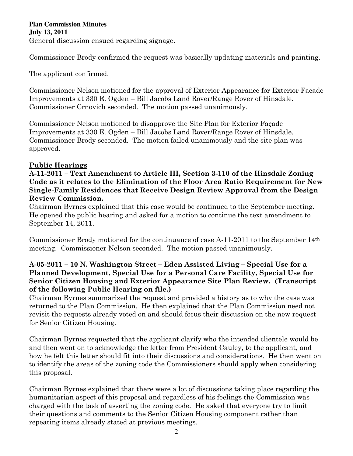### **Plan Commission Minutes July 13, 2011**  General discussion ensued regarding signage.

Commissioner Brody confirmed the request was basically updating materials and painting.

The applicant confirmed.

Commissioner Nelson motioned for the approval of Exterior Appearance for Exterior Façade Improvements at 330 E. Ogden – Bill Jacobs Land Rover/Range Rover of Hinsdale. Commissioner Crnovich seconded. The motion passed unanimously.

Commissioner Nelson motioned to disapprove the Site Plan for Exterior Façade Improvements at 330 E. Ogden – Bill Jacobs Land Rover/Range Rover of Hinsdale. Commissioner Brody seconded. The motion failed unanimously and the site plan was approved.

## Public Hearings

A-11-2011 – Text Amendment to Article III, Section 3-110 of the Hinsdale Zoning Code as it relates to the Elimination of the Floor Area Ratio Requirement for New Single-Family Residences that Receive Design Review Approval from the Design Review Commission.

Chairman Byrnes explained that this case would be continued to the September meeting. He opened the public hearing and asked for a motion to continue the text amendment to September 14, 2011.

Commissioner Brody motioned for the continuance of case A-11-2011 to the September 14th meeting. Commissioner Nelson seconded. The motion passed unanimously.

## A-05-2011 – 10 N. Washington Street – Eden Assisted Living – Special Use for a Planned Development, Special Use for a Personal Care Facility, Special Use for Senior Citizen Housing and Exterior Appearance Site Plan Review. (Transcript of the following Public Hearing on file.)

Chairman Byrnes summarized the request and provided a history as to why the case was returned to the Plan Commission. He then explained that the Plan Commission need not revisit the requests already voted on and should focus their discussion on the new request for Senior Citizen Housing.

Chairman Byrnes requested that the applicant clarify who the intended clientele would be and then went on to acknowledge the letter from President Cauley, to the applicant, and how he felt this letter should fit into their discussions and considerations. He then went on to identify the areas of the zoning code the Commissioners should apply when considering this proposal.

Chairman Byrnes explained that there were a lot of discussions taking place regarding the humanitarian aspect of this proposal and regardless of his feelings the Commission was charged with the task of asserting the zoning code. He asked that everyone try to limit their questions and comments to the Senior Citizen Housing component rather than repeating items already stated at previous meetings.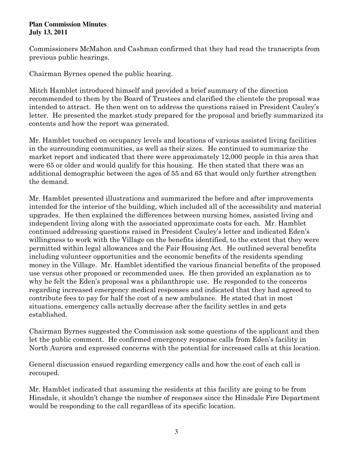Commissioners McMahon and Cashman confirmed that they had read the transcripts from previous public hearings.

Chairman Byrnes opened the public hearing.

Mitch Hamblet introduced himself and provided a brief summary of the direction recommended to them by the Board of Trustees and clarified the clientele the proposal was intended to attract. He then went on to address the questions raised in President Cauley's letter. He presented the market study prepared for the proposal and briefly summarized its contents and how the report was generated.

Mr. Hamblet touched on occupancy levels and locations of various assisted living facilities in the surrounding communities, as well as their sizes. He continued to summarize the market report and indicated that there were approximately 12,000 people in this area that were 65 or older and would qualify for this housing. He then stated that there was an additional demographic between the ages of 55 and 65 that would only further strengthen the demand.

Mr. Hamblet presented illustrations and summarized the before and after improvements intended for the interior of the building, which included all of the accessibility and material upgrades. He then explained the differences between nursing homes, assisted living and independent living along with the associated approximate costs for each. Mr. Hamblet continued addressing questions raised in President Cauley's letter and indicated Eden's willingness to work with the Village on the benefits identified, to the extent that they were permitted within legal allowances and the Fair Housing Act. He outlined several benefits including volunteer opportunities and the economic benefits of the residents spending money in the Village. Mr. Hamblet identified the various financial benefits of the proposed use versus other proposed or recommended uses. He then provided an explanation as to why he felt the Eden's proposal was a philanthropic use. He responded to the concerns regarding increased emergency medical responses and indicated that they had agreed to contribute fees to pay for half the cost of a new ambulance. He stated that in most situations, emergency calls actually decrease after the facility settles in and gets established.

Chairman Byrnes suggested the Commission ask some questions of the applicant and then let the public comment. He confirmed emergency response calls from Eden's facility in North Aurora and expressed concerns with the potential for increased calls at this location.

General discussion ensued regarding emergency calls and how the cost of each call is recouped.

Mr. Hamblet indicated that assuming the residents at this facility are going to be from Hinsdale, it shouldn't change the number of responses since the Hinsdale Fire Department would be responding to the call regardless of its specific location.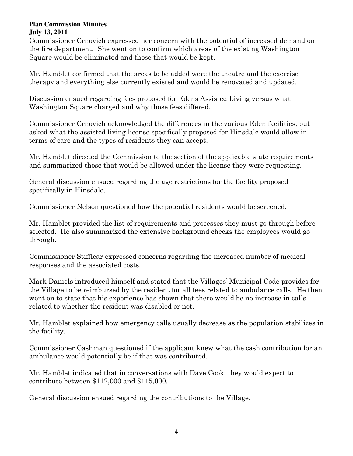Commissioner Crnovich expressed her concern with the potential of increased demand on the fire department. She went on to confirm which areas of the existing Washington Square would be eliminated and those that would be kept.

Mr. Hamblet confirmed that the areas to be added were the theatre and the exercise therapy and everything else currently existed and would be renovated and updated.

Discussion ensued regarding fees proposed for Edens Assisted Living versus what Washington Square charged and why those fees differed.

Commissioner Crnovich acknowledged the differences in the various Eden facilities, but asked what the assisted living license specifically proposed for Hinsdale would allow in terms of care and the types of residents they can accept.

Mr. Hamblet directed the Commission to the section of the applicable state requirements and summarized those that would be allowed under the license they were requesting.

General discussion ensued regarding the age restrictions for the facility proposed specifically in Hinsdale.

Commissioner Nelson questioned how the potential residents would be screened.

Mr. Hamblet provided the list of requirements and processes they must go through before selected. He also summarized the extensive background checks the employees would go through.

Commissioner Stifflear expressed concerns regarding the increased number of medical responses and the associated costs.

Mark Daniels introduced himself and stated that the Villages' Municipal Code provides for the Village to be reimbursed by the resident for all fees related to ambulance calls. He then went on to state that his experience has shown that there would be no increase in calls related to whether the resident was disabled or not.

Mr. Hamblet explained how emergency calls usually decrease as the population stabilizes in the facility.

Commissioner Cashman questioned if the applicant knew what the cash contribution for an ambulance would potentially be if that was contributed.

Mr. Hamblet indicated that in conversations with Dave Cook, they would expect to contribute between \$112,000 and \$115,000.

General discussion ensued regarding the contributions to the Village.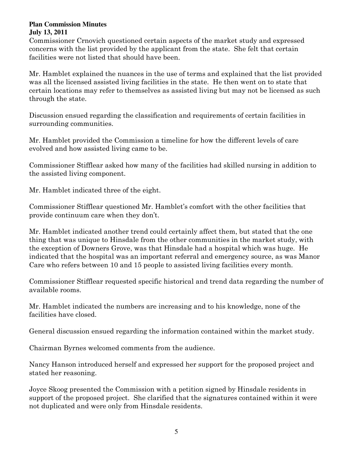Commissioner Crnovich questioned certain aspects of the market study and expressed concerns with the list provided by the applicant from the state. She felt that certain facilities were not listed that should have been.

Mr. Hamblet explained the nuances in the use of terms and explained that the list provided was all the licensed assisted living facilities in the state. He then went on to state that certain locations may refer to themselves as assisted living but may not be licensed as such through the state.

Discussion ensued regarding the classification and requirements of certain facilities in surrounding communities.

Mr. Hamblet provided the Commission a timeline for how the different levels of care evolved and how assisted living came to be.

Commissioner Stifflear asked how many of the facilities had skilled nursing in addition to the assisted living component.

Mr. Hamblet indicated three of the eight.

Commissioner Stifflear questioned Mr. Hamblet's comfort with the other facilities that provide continuum care when they don't.

Mr. Hamblet indicated another trend could certainly affect them, but stated that the one thing that was unique to Hinsdale from the other communities in the market study, with the exception of Downers Grove, was that Hinsdale had a hospital which was huge. He indicated that the hospital was an important referral and emergency source, as was Manor Care who refers between 10 and 15 people to assisted living facilities every month.

Commissioner Stifflear requested specific historical and trend data regarding the number of available rooms.

Mr. Hamblet indicated the numbers are increasing and to his knowledge, none of the facilities have closed.

General discussion ensued regarding the information contained within the market study.

Chairman Byrnes welcomed comments from the audience.

Nancy Hanson introduced herself and expressed her support for the proposed project and stated her reasoning.

Joyce Skoog presented the Commission with a petition signed by Hinsdale residents in support of the proposed project. She clarified that the signatures contained within it were not duplicated and were only from Hinsdale residents.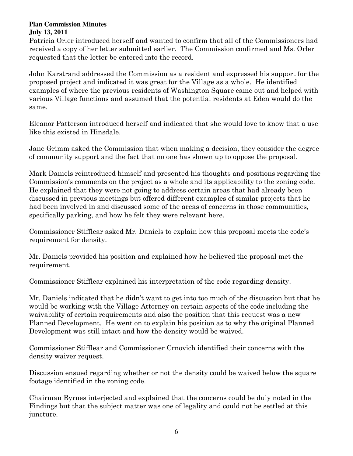Patricia Orler introduced herself and wanted to confirm that all of the Commissioners had received a copy of her letter submitted earlier. The Commission confirmed and Ms. Orler requested that the letter be entered into the record.

John Karstrand addressed the Commission as a resident and expressed his support for the proposed project and indicated it was great for the Village as a whole. He identified examples of where the previous residents of Washington Square came out and helped with various Village functions and assumed that the potential residents at Eden would do the same.

Eleanor Patterson introduced herself and indicated that she would love to know that a use like this existed in Hinsdale.

Jane Grimm asked the Commission that when making a decision, they consider the degree of community support and the fact that no one has shown up to oppose the proposal.

Mark Daniels reintroduced himself and presented his thoughts and positions regarding the Commission's comments on the project as a whole and its applicability to the zoning code. He explained that they were not going to address certain areas that had already been discussed in previous meetings but offered different examples of similar projects that he had been involved in and discussed some of the areas of concerns in those communities, specifically parking, and how he felt they were relevant here.

Commissioner Stifflear asked Mr. Daniels to explain how this proposal meets the code's requirement for density.

Mr. Daniels provided his position and explained how he believed the proposal met the requirement.

Commissioner Stifflear explained his interpretation of the code regarding density.

Mr. Daniels indicated that he didn't want to get into too much of the discussion but that he would be working with the Village Attorney on certain aspects of the code including the waivability of certain requirements and also the position that this request was a new Planned Development. He went on to explain his position as to why the original Planned Development was still intact and how the density would be waived.

Commissioner Stifflear and Commissioner Crnovich identified their concerns with the density waiver request.

Discussion ensued regarding whether or not the density could be waived below the square footage identified in the zoning code.

Chairman Byrnes interjected and explained that the concerns could be duly noted in the Findings but that the subject matter was one of legality and could not be settled at this juncture.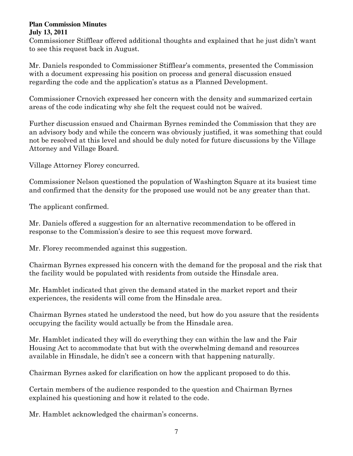Commissioner Stifflear offered additional thoughts and explained that he just didn't want to see this request back in August.

Mr. Daniels responded to Commissioner Stifflear's comments, presented the Commission with a document expressing his position on process and general discussion ensued regarding the code and the application's status as a Planned Development.

Commissioner Crnovich expressed her concern with the density and summarized certain areas of the code indicating why she felt the request could not be waived.

Further discussion ensued and Chairman Byrnes reminded the Commission that they are an advisory body and while the concern was obviously justified, it was something that could not be resolved at this level and should be duly noted for future discussions by the Village Attorney and Village Board.

Village Attorney Florey concurred.

Commissioner Nelson questioned the population of Washington Square at its busiest time and confirmed that the density for the proposed use would not be any greater than that.

The applicant confirmed.

Mr. Daniels offered a suggestion for an alternative recommendation to be offered in response to the Commission's desire to see this request move forward.

Mr. Florey recommended against this suggestion.

Chairman Byrnes expressed his concern with the demand for the proposal and the risk that the facility would be populated with residents from outside the Hinsdale area.

Mr. Hamblet indicated that given the demand stated in the market report and their experiences, the residents will come from the Hinsdale area.

Chairman Byrnes stated he understood the need, but how do you assure that the residents occupying the facility would actually be from the Hinsdale area.

Mr. Hamblet indicated they will do everything they can within the law and the Fair Housing Act to accommodate that but with the overwhelming demand and resources available in Hinsdale, he didn't see a concern with that happening naturally.

Chairman Byrnes asked for clarification on how the applicant proposed to do this.

Certain members of the audience responded to the question and Chairman Byrnes explained his questioning and how it related to the code.

Mr. Hamblet acknowledged the chairman's concerns.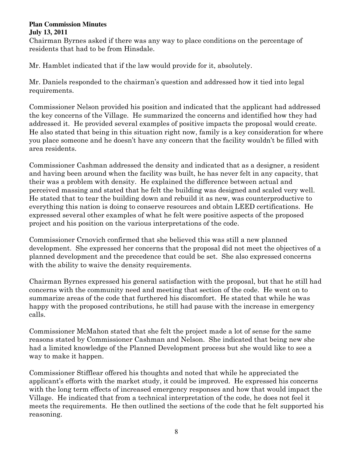Chairman Byrnes asked if there was any way to place conditions on the percentage of residents that had to be from Hinsdale.

Mr. Hamblet indicated that if the law would provide for it, absolutely.

Mr. Daniels responded to the chairman's question and addressed how it tied into legal requirements.

Commissioner Nelson provided his position and indicated that the applicant had addressed the key concerns of the Village. He summarized the concerns and identified how they had addressed it. He provided several examples of positive impacts the proposal would create. He also stated that being in this situation right now, family is a key consideration for where you place someone and he doesn't have any concern that the facility wouldn't be filled with area residents.

Commissioner Cashman addressed the density and indicated that as a designer, a resident and having been around when the facility was built, he has never felt in any capacity, that their was a problem with density. He explained the difference between actual and perceived massing and stated that he felt the building was designed and scaled very well. He stated that to tear the building down and rebuild it as new, was counterproductive to everything this nation is doing to conserve resources and obtain LEED certifications. He expressed several other examples of what he felt were positive aspects of the proposed project and his position on the various interpretations of the code.

Commissioner Crnovich confirmed that she believed this was still a new planned development. She expressed her concerns that the proposal did not meet the objectives of a planned development and the precedence that could be set. She also expressed concerns with the ability to waive the density requirements.

Chairman Byrnes expressed his general satisfaction with the proposal, but that he still had concerns with the community need and meeting that section of the code. He went on to summarize areas of the code that furthered his discomfort. He stated that while he was happy with the proposed contributions, he still had pause with the increase in emergency calls.

Commissioner McMahon stated that she felt the project made a lot of sense for the same reasons stated by Commissioner Cashman and Nelson. She indicated that being new she had a limited knowledge of the Planned Development process but she would like to see a way to make it happen.

Commissioner Stifflear offered his thoughts and noted that while he appreciated the applicant's efforts with the market study, it could be improved. He expressed his concerns with the long term effects of increased emergency responses and how that would impact the Village. He indicated that from a technical interpretation of the code, he does not feel it meets the requirements. He then outlined the sections of the code that he felt supported his reasoning.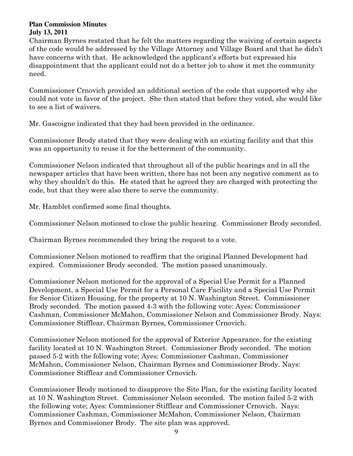Chairman Byrnes restated that he felt the matters regarding the waiving of certain aspects of the code would be addressed by the Village Attorney and Village Board and that he didn't have concerns with that. He acknowledged the applicant's efforts but expressed his disappointment that the applicant could not do a better job to show it met the community need.

Commissioner Crnovich provided an additional section of the code that supported why she could not vote in favor of the project. She then stated that before they voted, she would like to see a list of waivers.

Mr. Gascoigne indicated that they had been provided in the ordinance.

Commissioner Brody stated that they were dealing with an existing facility and that this was an opportunity to reuse it for the betterment of the community.

Commissioner Nelson indicated that throughout all of the public hearings and in all the newspaper articles that have been written, there has not been any negative comment as to why they shouldn't do this. He stated that he agreed they are charged with protecting the code, but that they were also there to serve the community.

Mr. Hamblet confirmed some final thoughts.

Commissioner Nelson motioned to close the public hearing. Commissioner Brody seconded.

Chairman Byrnes recommended they bring the request to a vote.

Commissioner Nelson motioned to reaffirm that the original Planned Development had expired. Commissioner Brody seconded. The motion passed unanimously.

Commissioner Nelson motioned for the approval of a Special Use Permit for a Planned Development, a Special Use Permit for a Personal Care Facility and a Special Use Permit for Senior Citizen Housing, for the property at 10 N. Washington Street. Commissioner Brody seconded. The motion passed 4-3 with the following vote: Ayes: Commissioner Cashman, Commissioner McMahon, Commissioner Nelson and Commissioner Brody. Nays: Commissioner Stifflear, Chairman Byrnes, Commissioner Crnovich.

Commissioner Nelson motioned for the approval of Exterior Appearance, for the existing facility located at 10 N. Washington Street. Commissioner Brody seconded. The motion passed 5-2 with the following vote; Ayes: Commissioner Cashman, Commissioner McMahon, Commissioner Nelson, Chairman Byrnes and Commissioner Brody. Nays: Commissioner Stifflear and Commissioner Crnovich.

Commissioner Brody motioned to disapprove the Site Plan, for the existing facility located at 10 N. Washington Street. Commissioner Nelson seconded. The motion failed 5-2 with the following vote; Ayes: Commissioner Stifflear and Commissioner Crnovich. Nays: Commissioner Cashman, Commissioner McMahon, Commissioner Nelson, Chairman Byrnes and Commissioner Brody. The site plan was approved.